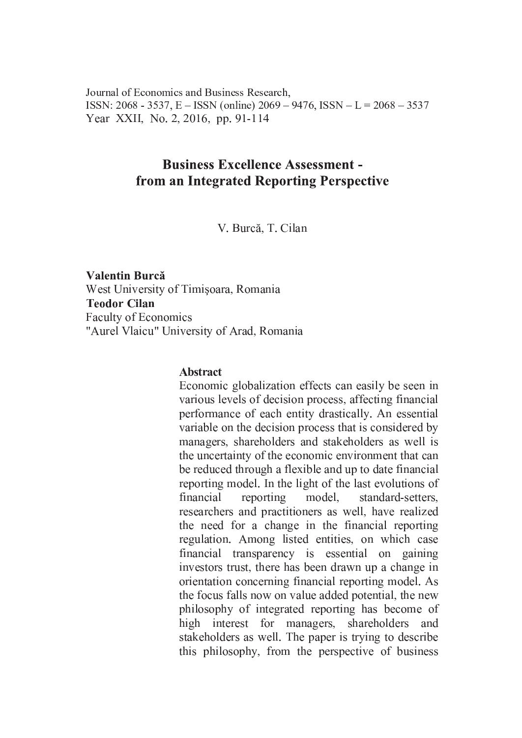Journal of Economics and Business Research. ISSN: 2068 - 3537, E - ISSN (online) 2069 - 9476, ISSN - L = 2068 - 3537 Year XXII, No. 2, 2016, pp. 91-114

# **Business Excellence Assessment** from an Integrated Reporting Perspective

V. Burcă, T. Cilan

Valentin Burcă West University of Timişoara, Romania **Teodor Cilan Faculty of Economics** "Aurel Vlaicu" University of Arad, Romania

#### **Abstract**

Economic globalization effects can easily be seen in various levels of decision process, affecting financial performance of each entity drastically. An essential variable on the decision process that is considered by managers, shareholders and stakeholders as well is the uncertainty of the economic environment that can be reduced through a flexible and up to date financial reporting model. In the light of the last evolutions of financial reporting model, standard-setters. researchers and practitioners as well, have realized the need for a change in the financial reporting regulation. Among listed entities, on which case financial transparency is essential on gaining investors trust, there has been drawn up a change in orientation concerning financial reporting model. As the focus falls now on value added potential, the new philosophy of integrated reporting has become of high interest for managers, shareholders and stakeholders as well. The paper is trying to describe this philosophy, from the perspective of business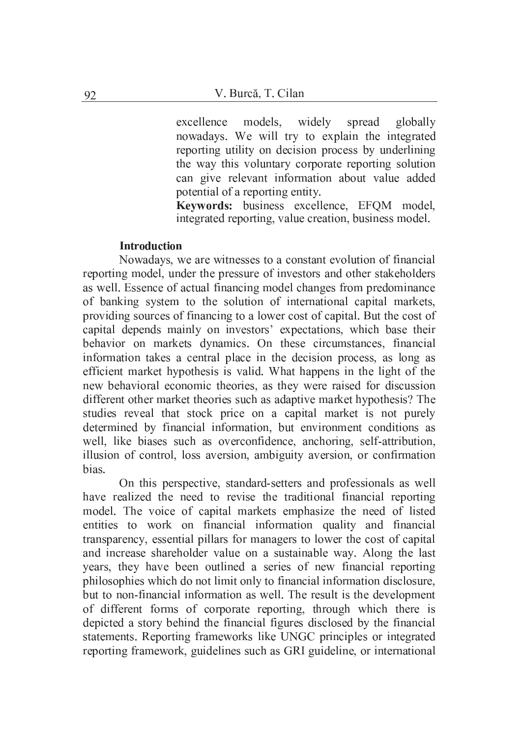models, widely spread excellence globally nowadays. We will try to explain the integrated reporting utility on decision process by underlining the way this voluntary corporate reporting solution can give relevant information about value added potential of a reporting entity.

Keywords: business excellence, EFOM model, integrated reporting, value creation, business model.

### **Introduction**

Nowadays, we are witnesses to a constant evolution of financial reporting model, under the pressure of investors and other stakeholders as well. Essence of actual financing model changes from predominance of banking system to the solution of international capital markets, providing sources of financing to a lower cost of capital. But the cost of capital depends mainly on investors' expectations, which base their behavior on markets dynamics. On these circumstances, financial information takes a central place in the decision process, as long as efficient market hypothesis is valid. What happens in the light of the new behavioral economic theories, as they were raised for discussion different other market theories such as adaptive market hypothesis? The studies reveal that stock price on a capital market is not purely determined by financial information, but environment conditions as well, like biases such as overconfidence, anchoring, self-attribution, illusion of control, loss aversion, ambiguity aversion, or confirmation bias.

On this perspective, standard-setters and professionals as well have realized the need to revise the traditional financial reporting model. The voice of capital markets emphasize the need of listed entities to work on financial information quality and financial transparency, essential pillars for managers to lower the cost of capital and increase shareholder value on a sustainable way. Along the last years, they have been outlined a series of new financial reporting philosophies which do not limit only to financial information disclosure, but to non-financial information as well. The result is the development of different forms of corporate reporting, through which there is depicted a story behind the financial figures disclosed by the financial statements. Reporting frameworks like UNGC principles or integrated reporting framework, guidelines such as GRI guideline, or international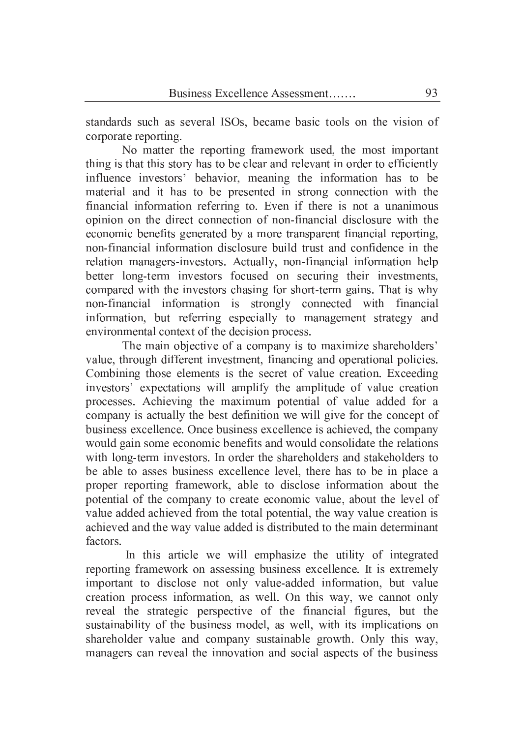standards such as several ISOs, became basic tools on the vision of corporate reporting.

No matter the reporting framework used, the most important thing is that this story has to be clear and relevant in order to efficiently influence investors' behavior, meaning the information has to be material and it has to be presented in strong connection with the financial information referring to. Even if there is not a unanimous opinion on the direct connection of non-financial disclosure with the economic benefits generated by a more transparent financial reporting, non-financial information disclosure build trust and confidence in the relation managers-investors. Actually, non-financial information help better long-term investors focused on securing their investments, compared with the investors chasing for short-term gains. That is why non-financial information is strongly connected with financial information, but referring especially to management strategy and environmental context of the decision process.

The main objective of a company is to maximize shareholders' value, through different investment, financing and operational policies. Combining those elements is the secret of value creation. Exceeding investors' expectations will amplify the amplitude of value creation processes. Achieving the maximum potential of value added for a company is actually the best definition we will give for the concept of business excellence. Once business excellence is achieved, the company would gain some economic benefits and would consolidate the relations with long-term investors. In order the shareholders and stakeholders to be able to asses business excellence level, there has to be in place a proper reporting framework, able to disclose information about the potential of the company to create economic value, about the level of value added achieved from the total potential, the way value creation is achieved and the way value added is distributed to the main determinant factors.

In this article we will emphasize the utility of integrated reporting framework on assessing business excellence. It is extremely important to disclose not only value-added information, but value creation process information, as well. On this way, we cannot only reveal the strategic perspective of the financial figures, but the sustainability of the business model, as well, with its implications on shareholder value and company sustainable growth. Only this way, managers can reveal the innovation and social aspects of the business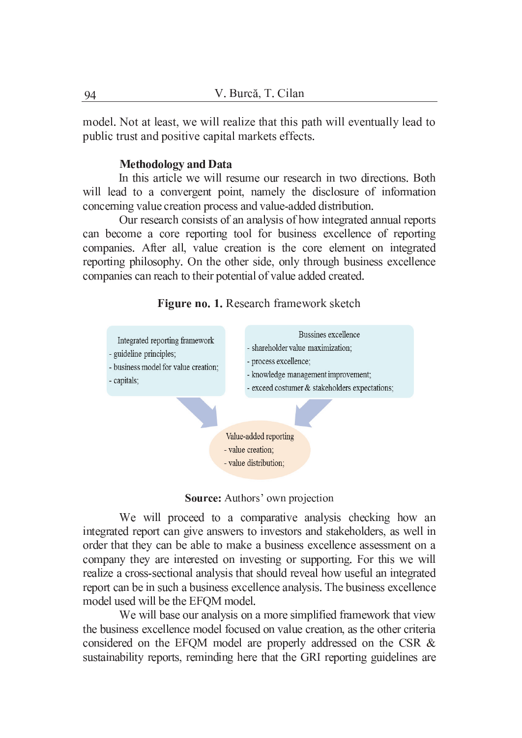model. Not at least, we will realize that this path will eventually lead to public trust and positive capital markets effects.

#### **Methodology and Data**

In this article we will resume our research in two directions. Both will lead to a convergent point, namely the disclosure of information concerning value creation process and value-added distribution.

Our research consists of an analysis of how integrated annual reports can become a core reporting tool for business excellence of reporting companies. After all, value creation is the core element on integrated reporting philosophy. On the other side, only through business excellence companies can reach to their potential of value added created.





Source: Authors' own projection

We will proceed to a comparative analysis checking how an integrated report can give answers to investors and stakeholders, as well in order that they can be able to make a business excellence assessment on a company they are interested on investing or supporting. For this we will realize a cross-sectional analysis that should reveal how useful an integrated report can be in such a business excellence analysis. The business excellence model used will be the EFQM model.

We will base our analysis on a more simplified framework that view the business excellence model focused on value creation, as the other criteria considered on the EFOM model are properly addressed on the CSR & sustainability reports, reminding here that the GRI reporting guidelines are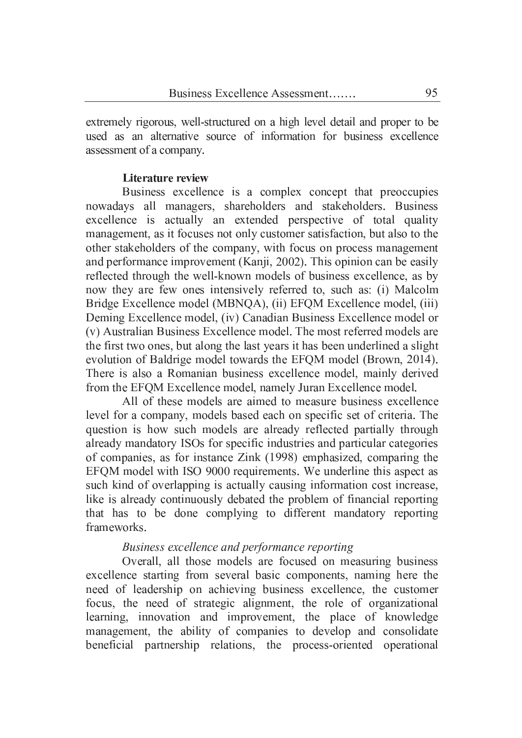extremely rigorous, well-structured on a high level detail and proper to be used as an alternative source of information for business excellence assessment of a company.

## Literature review

Business excellence is a complex concept that preoccupies nowadays all managers, shareholders and stakeholders. Business excellence is actually an extended perspective of total quality management, as it focuses not only customer satisfaction, but also to the other stakeholders of the company, with focus on process management and performance improvement (Kanji, 2002). This opinion can be easily reflected through the well-known models of business excellence, as by now they are few ones intensively referred to, such as: (i) Malcolm Bridge Excellence model (MBNOA), (ii) EFOM Excellence model, (iii) Deming Excellence model, (iv) Canadian Business Excellence model or (v) Australian Business Excellence model. The most referred models are the first two ones, but along the last years it has been underlined a slight evolution of Baldrige model towards the EFOM model (Brown, 2014). There is also a Romanian business excellence model, mainly derived from the EFQM Excellence model, namely Juran Excellence model.

All of these models are aimed to measure business excellence level for a company, models based each on specific set of criteria. The question is how such models are already reflected partially through already mandatory ISOs for specific industries and particular categories of companies, as for instance Zink (1998) emphasized, comparing the EFOM model with ISO 9000 requirements. We underline this aspect as such kind of overlapping is actually causing information cost increase, like is already continuously debated the problem of financial reporting that has to be done complying to different mandatory reporting frameworks.

# Business excellence and performance reporting

Overall, all those models are focused on measuring business excellence starting from several basic components, naming here the need of leadership on achieving business excellence, the customer focus, the need of strategic alignment, the role of organizational learning, innovation and improvement, the place of knowledge management, the ability of companies to develop and consolidate beneficial partnership relations, the process-oriented operational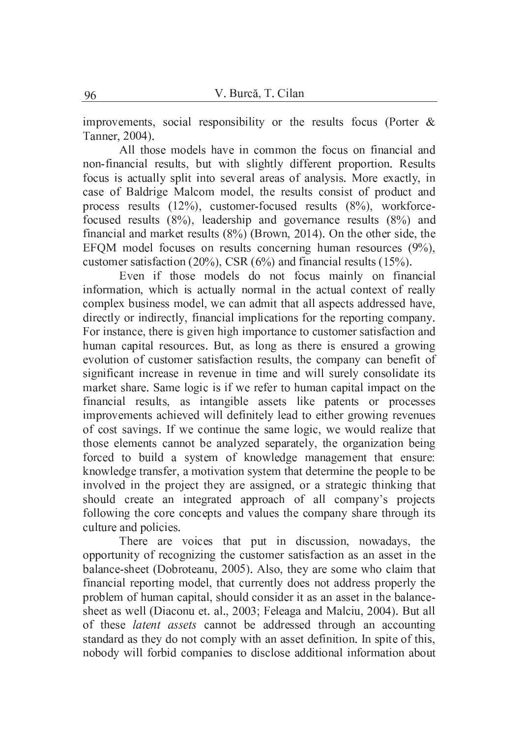improvements, social responsibility or the results focus (Porter  $\&$ Tanner, 2004).

All those models have in common the focus on financial and non-financial results, but with slightly different proportion. Results focus is actually split into several areas of analysis. More exactly, in case of Baldrige Malcom model, the results consist of product and process results  $(12\%)$ , customer-focused results  $(8\%)$ , workforcefocused results  $(8\%)$ , leadership and governance results  $(8\%)$  and financial and market results  $(8\%)$  (Brown, 2014). On the other side, the EFQM model focuses on results concerning human resources  $(9\%)$ , customer satisfaction (20%), CSR  $(6\%)$  and financial results (15%).

Even if those models do not focus mainly on financial information, which is actually normal in the actual context of really complex business model, we can admit that all aspects addressed have, directly or indirectly, financial implications for the reporting company. For instance, there is given high importance to customer satisfaction and human capital resources. But, as long as there is ensured a growing evolution of customer satisfaction results, the company can benefit of significant increase in revenue in time and will surely consolidate its market share. Same logic is if we refer to human capital impact on the financial results, as intangible assets like patents or processes improvements achieved will definitely lead to either growing revenues of cost savings. If we continue the same logic, we would realize that those elements cannot be analyzed separately, the organization being forced to build a system of knowledge management that ensure: knowledge transfer, a motivation system that determine the people to be involved in the project they are assigned, or a strategic thinking that should create an integrated approach of all company's projects following the core concepts and values the company share through its culture and policies.

There are voices that put in discussion, nowadays, the opportunity of recognizing the customer satisfaction as an asset in the balance-sheet (Dobroteanu, 2005). Also, they are some who claim that financial reporting model, that currently does not address properly the problem of human capital, should consider it as an asset in the balancesheet as well (Diaconu et. al., 2003; Feleaga and Malciu, 2004). But all of these latent assets cannot be addressed through an accounting standard as they do not comply with an asset definition. In spite of this, nobody will forbid companies to disclose additional information about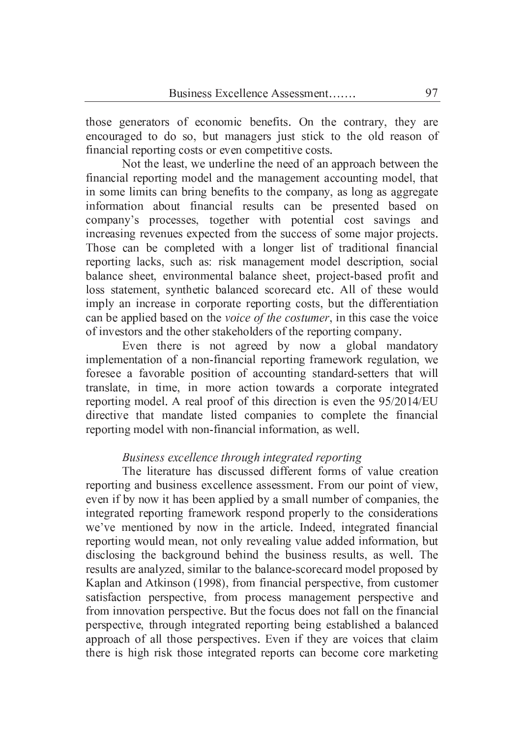those generators of economic benefits. On the contrary, they are encouraged to do so, but managers just stick to the old reason of financial reporting costs or even competitive costs.

Not the least, we underline the need of an approach between the financial reporting model and the management accounting model, that in some limits can bring benefits to the company, as long as aggregate information about financial results can be presented based on company's processes, together with potential cost savings and increasing revenues expected from the success of some major projects. Those can be completed with a longer list of traditional financial reporting lacks, such as: risk management model description, social balance sheet, environmental balance sheet, project-based profit and loss statement, synthetic balanced scorecard etc. All of these would imply an increase in corporate reporting costs, but the differentiation can be applied based on the voice of the costumer, in this case the voice of investors and the other stakeholders of the reporting company.

Even there is not agreed by now a global mandatory implementation of a non-financial reporting framework regulation, we foresee a favorable position of accounting standard-setters that will translate, in time, in more action towards a corporate integrated reporting model. A real proof of this direction is even the 95/2014/EU directive that mandate listed companies to complete the financial reporting model with non-financial information, as well.

# Business excellence through integrated reporting

The literature has discussed different forms of value creation reporting and business excellence assessment. From our point of view, even if by now it has been applied by a small number of companies, the integrated reporting framework respond properly to the considerations we've mentioned by now in the article. Indeed, integrated financial reporting would mean, not only revealing value added information, but disclosing the background behind the business results, as well. The results are analyzed, similar to the balance-scorecard model proposed by Kaplan and Atkinson (1998), from financial perspective, from customer satisfaction perspective, from process management perspective and from innovation perspective. But the focus does not fall on the financial perspective, through integrated reporting being established a balanced approach of all those perspectives. Even if they are voices that claim there is high risk those integrated reports can become core marketing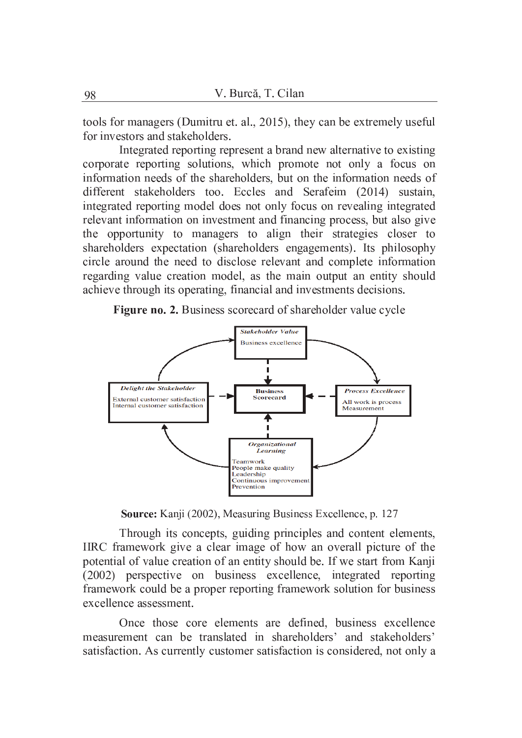tools for managers (Dumitru et. al., 2015), they can be extremely useful for investors and stakeholders.

Integrated reporting represent a brand new alternative to existing corporate reporting solutions, which promote not only a focus on information needs of the shareholders, but on the information needs of different stakeholders too. Eccles and Serafeim (2014) sustain, integrated reporting model does not only focus on revealing integrated relevant information on investment and financing process, but also give the opportunity to managers to align their strategies closer to shareholders expectation (shareholders engagements). Its philosophy circle around the need to disclose relevant and complete information regarding value creation model, as the main output an entity should achieve through its operating, financial and investments decisions.





Source: Kanji (2002), Measuring Business Excellence, p. 127

Through its concepts, guiding principles and content elements, IIRC framework give a clear image of how an overall picture of the potential of value creation of an entity should be. If we start from Kanji (2002) perspective on business excellence, integrated reporting framework could be a proper reporting framework solution for business excellence assessment.

Once those core elements are defined, business excellence measurement can be translated in shareholders' and stakeholders' satisfaction. As currently customer satisfaction is considered, not only a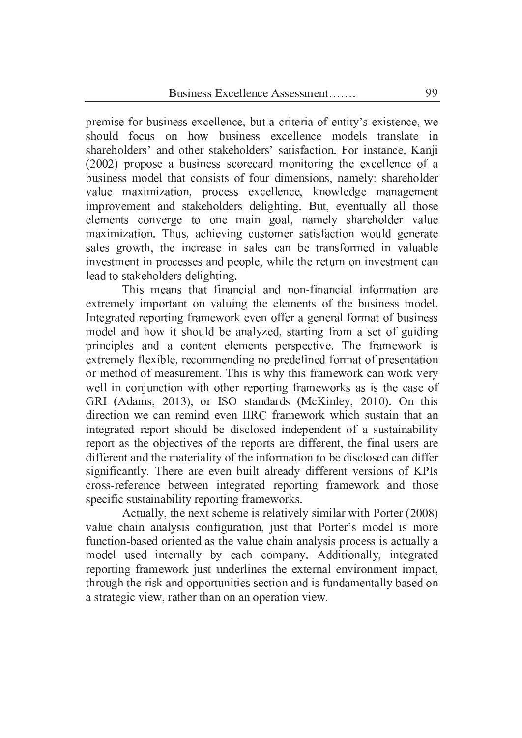premise for business excellence, but a criteria of entity's existence, we should focus on how business excellence models translate in shareholders' and other stakeholders' satisfaction. For instance, Kanji (2002) propose a business scorecard monitoring the excellence of a business model that consists of four dimensions, namely: shareholder value maximization, process excellence, knowledge management improvement and stakeholders delighting. But, eventually all those elements converge to one main goal, namely shareholder value maximization. Thus, achieving customer satisfaction would generate sales growth, the increase in sales can be transformed in valuable investment in processes and people, while the return on investment can lead to stakeholders delighting.

This means that financial and non-financial information are extremely important on valuing the elements of the business model. Integrated reporting framework even offer a general format of business model and how it should be analyzed, starting from a set of guiding principles and a content elements perspective. The framework is extremely flexible, recommending no predefined format of presentation or method of measurement. This is why this framework can work very well in conjunction with other reporting frameworks as is the case of GRI (Adams, 2013), or ISO standards (McKinley, 2010). On this direction we can remind even IIRC framework which sustain that an integrated report should be disclosed independent of a sustainability report as the objectives of the reports are different, the final users are different and the materiality of the information to be disclosed can differ significantly. There are even built already different versions of KPIs cross-reference between integrated reporting framework and those specific sustainability reporting frameworks.

Actually, the next scheme is relatively similar with Porter (2008) value chain analysis configuration, just that Porter's model is more function-based oriented as the value chain analysis process is actually a model used internally by each company. Additionally, integrated reporting framework just underlines the external environment impact, through the risk and opportunities section and is fundamentally based on a strategic view, rather than on an operation view.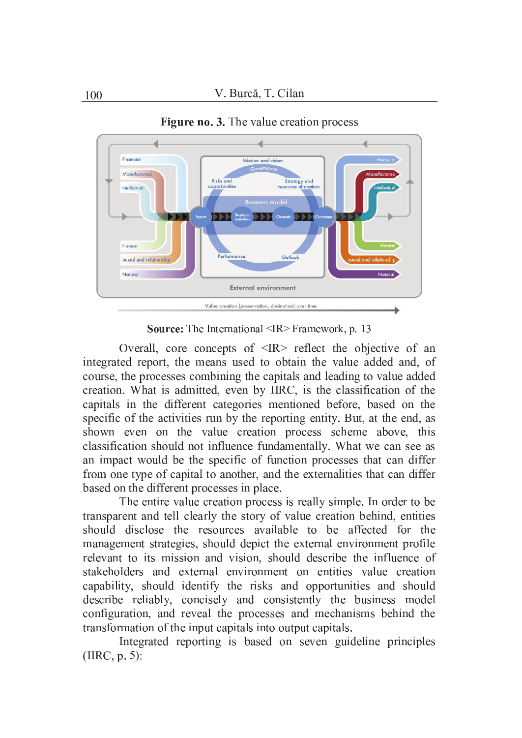

**Figure no. 3.** The value creation process

Source: The International <IR> Framework, p. 13

Overall, core concepts of  $\langle IR \rangle$  reflect the objective of an integrated report, the means used to obtain the value added and, of course, the processes combining the capitals and leading to value added creation. What is admitted, even by IIRC, is the classification of the capitals in the different categories mentioned before, based on the specific of the activities run by the reporting entity. But, at the end, as shown even on the value creation process scheme above, this classification should not influence fundamentally. What we can see as an impact would be the specific of function processes that can differ from one type of capital to another, and the externalities that can differ based on the different processes in place.

The entire value creation process is really simple. In order to be transparent and tell clearly the story of value creation behind, entities should disclose the resources available to be affected for the management strategies, should depict the external environment profile relevant to its mission and vision, should describe the influence of stakeholders and external environment on entities value creation capability, should identify the risks and opportunities and should describe reliably, concisely and consistently the business model configuration, and reveal the processes and mechanisms behind the transformation of the input capitals into output capitals.

Integrated reporting is based on seven guideline principles  $(IRC, p. 5)$ :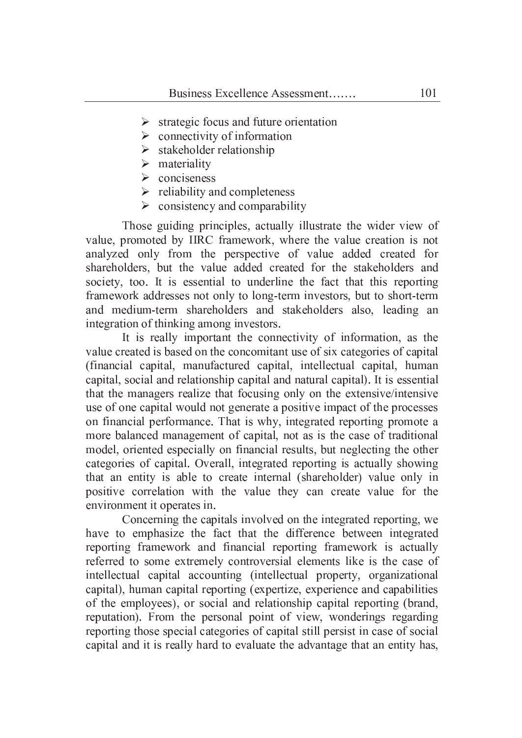- $\triangleright$  strategic focus and future orientation
- $\triangleright$  connectivity of information
- $\triangleright$  stakeholder relationship
- $\triangleright$  materiality
- $\triangleright$  conciseness
- $\triangleright$  reliability and completeness
- $\triangleright$  consistency and comparability

Those guiding principles, actually illustrate the wider view of value, promoted by IIRC framework, where the value creation is not analyzed only from the perspective of value added created for shareholders, but the value added created for the stakeholders and society, too. It is essential to underline the fact that this reporting framework addresses not only to long-term investors, but to short-term and medium-term shareholders and stakeholders also, leading an integration of thinking among investors.

It is really important the connectivity of information, as the value created is based on the concomitant use of six categories of capital (financial capital, manufactured capital, intellectual capital, human capital, social and relationship capital and natural capital). It is essential that the managers realize that focusing only on the extensive/intensive use of one capital would not generate a positive impact of the processes on financial performance. That is why, integrated reporting promote a more balanced management of capital, not as is the case of traditional model, oriented especially on financial results, but neglecting the other categories of capital. Overall, integrated reporting is actually showing that an entity is able to create internal (shareholder) value only in positive correlation with the value they can create value for the environment it operates in.

Concerning the capitals involved on the integrated reporting, we have to emphasize the fact that the difference between integrated reporting framework and financial reporting framework is actually referred to some extremely controversial elements like is the case of intellectual capital accounting (intellectual property, organizational capital), human capital reporting (expertize, experience and capabilities of the employees), or social and relationship capital reporting (brand, reputation). From the personal point of view, wonderings regarding reporting those special categories of capital still persist in case of social capital and it is really hard to evaluate the advantage that an entity has,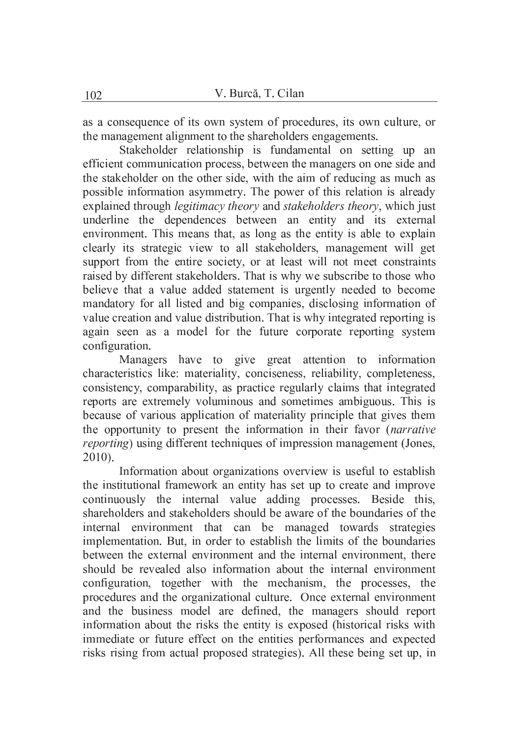as a consequence of its own system of procedures, its own culture, or the management alignment to the shareholders engagements.

Stakeholder relationship is fundamental on setting up an efficient communication process, between the managers on one side and the stakeholder on the other side, with the aim of reducing as much as possible information asymmetry. The power of this relation is already explained through *legitimacy theory* and *stakeholders theory*, which just underline the dependences between an entity and its external environment. This means that, as long as the entity is able to explain clearly its strategic view to all stakeholders, management will get support from the entire society, or at least will not meet constraints raised by different stakeholders. That is why we subscribe to those who believe that a value added statement is urgently needed to become mandatory for all listed and big companies, disclosing information of value creation and value distribution. That is why integrated reporting is again seen as a model for the future corporate reporting system configuration.

Managers have to give great attention to information characteristics like: materiality, conciseness, reliability, completeness, consistency, comparability, as practice regularly claims that integrated reports are extremely voluminous and sometimes ambiguous. This is because of various application of materiality principle that gives them the opportunity to present the information in their favor (narrative *reporting*) using different techniques of impression management (Jones,  $2010$ ).

Information about organizations overview is useful to establish the institutional framework an entity has set up to create and improve continuously the internal value adding processes. Beside this, shareholders and stakeholders should be aware of the boundaries of the internal environment that can be managed towards strategies implementation. But, in order to establish the limits of the boundaries between the external environment and the internal environment, there should be revealed also information about the internal environment configuration, together with the mechanism, the processes, the procedures and the organizational culture. Once external environment and the business model are defined, the managers should report information about the risks the entity is exposed (historical risks with immediate or future effect on the entities performances and expected risks rising from actual proposed strategies). All these being set up, in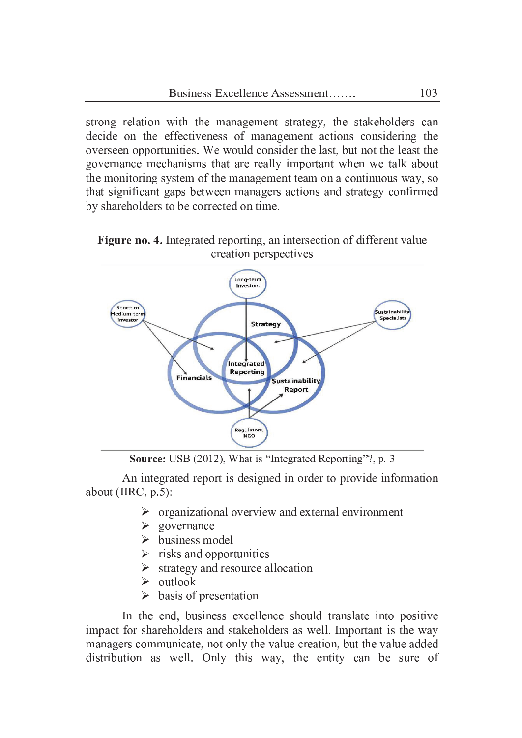strong relation with the management strategy, the stakeholders can decide on the effectiveness of management actions considering the overseen opportunities. We would consider the last, but not the least the governance mechanisms that are really important when we talk about the monitoring system of the management team on a continuous way, so that significant gaps between managers actions and strategy confirmed by shareholders to be corrected on time.





Source: USB (2012), What is "Integrated Reporting"?, p. 3

An integrated report is designed in order to provide information about (IIRC,  $p.5$ ):

- $\triangleright$  organizational overview and external environment
- $\triangleright$  governance
- $\triangleright$  business model
- $\triangleright$  risks and opportunities
- $\triangleright$  strategy and resource allocation
- $\triangleright$  outlook
- $\triangleright$  basis of presentation

In the end, business excellence should translate into positive impact for shareholders and stakeholders as well. Important is the way managers communicate, not only the value creation, but the value added distribution as well. Only this way, the entity can be sure of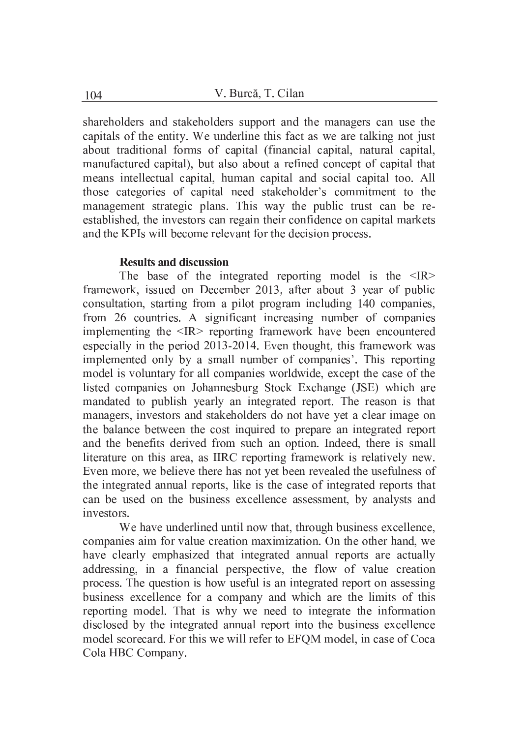shareholders and stakeholders support and the managers can use the capitals of the entity. We underline this fact as we are talking not just about traditional forms of capital (financial capital, natural capital, manufactured capital), but also about a refined concept of capital that means intellectual capital, human capital and social capital too. All those categories of capital need stakeholder's commitment to the management strategic plans. This way the public trust can be reestablished, the investors can regain their confidence on capital markets and the KPIs will become relevant for the decision process.

## **Results and discussion**

The base of the integrated reporting model is the  $\langle IR \rangle$ framework, issued on December 2013, after about 3 year of public consultation, starting from a pilot program including 140 companies, from 26 countries. A significant increasing number of companies implementing the <IR> reporting framework have been encountered especially in the period 2013-2014. Even thought, this framework was implemented only by a small number of companies'. This reporting model is voluntary for all companies worldwide, except the case of the listed companies on Johannesburg Stock Exchange (JSE) which are mandated to publish yearly an integrated report. The reason is that managers, investors and stakeholders do not have yet a clear image on the balance between the cost inquired to prepare an integrated report and the benefits derived from such an option. Indeed, there is small literature on this area, as IIRC reporting framework is relatively new. Even more, we believe there has not yet been revealed the usefulness of the integrated annual reports, like is the case of integrated reports that can be used on the business excellence assessment, by analysts and investors.

We have underlined until now that, through business excellence, companies aim for value creation maximization. On the other hand, we have clearly emphasized that integrated annual reports are actually addressing, in a financial perspective, the flow of value creation process. The question is how useful is an integrated report on assessing business excellence for a company and which are the limits of this reporting model. That is why we need to integrate the information disclosed by the integrated annual report into the business excellence model scorecard. For this we will refer to EFQM model, in case of Coca Cola HBC Company.

104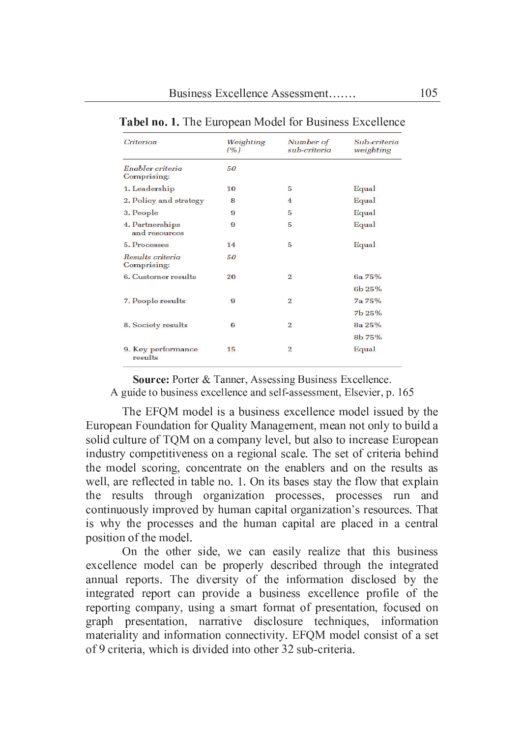| <b>Criterion</b>                 | Weighting<br>(%) | Number of<br>sub-criteria | Sub-criteria<br>weighting |
|----------------------------------|------------------|---------------------------|---------------------------|
| Enabler criteria<br>Comprising:  | 50               |                           |                           |
| 1. Leadership                    | 10               | 5                         | Equal                     |
| 2. Policy and strategy           | 8                | 4                         | Equal                     |
| 3. People                        | 9                | 5                         | Equal                     |
| 4. Partnerships<br>and resources | 9                | 5                         | Equal                     |
| 5. Processes                     | 14               | 5                         | Equal                     |
| Results criteria<br>Comprising:  | 50               |                           |                           |
| 6. Customer results              | 20               | $\overline{2}$            | 6a 75%                    |
|                                  |                  |                           | 6b 25%                    |
| 7. People results                | 9                | $\overline{2}$            | 7a 75%                    |
|                                  |                  |                           | 7b 25%                    |
| 8. Society results               | 6                | $\overline{2}$            | 8a 25%                    |
|                                  |                  |                           | 8b 75%                    |
| 9. Key performance<br>results    | 15               | 2                         | Equal                     |

| <b>Tabel no. 1.</b> The European Model for Business Excellence |  |  |  |
|----------------------------------------------------------------|--|--|--|
|                                                                |  |  |  |

Source: Porter & Tanner, Assessing Business Excellence.

A guide to business excellence and self-assessment, Elsevier, p. 165

The EFQM model is a business excellence model issued by the European Foundation for Quality Management, mean not only to build a solid culture of TQM on a company level, but also to increase European industry competitiveness on a regional scale. The set of criteria behind the model scoring, concentrate on the enablers and on the results as well, are reflected in table no. 1. On its bases stay the flow that explain the results through organization processes, processes run and continuously improved by human capital organization's resources. That is why the processes and the human capital are placed in a central position of the model.

On the other side, we can easily realize that this business excellence model can be properly described through the integrated annual reports. The diversity of the information disclosed by the integrated report can provide a business excellence profile of the reporting company, using a smart format of presentation, focused on graph presentation, narrative disclosure techniques, information materiality and information connectivity. EFQM model consist of a set of 9 criteria, which is divided into other 32 sub-criteria.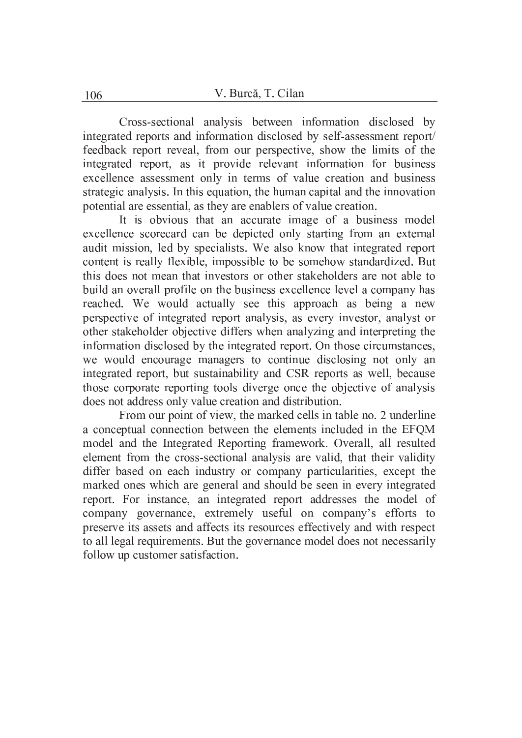Cross-sectional analysis between information disclosed by integrated reports and information disclosed by self-assessment report/ feedback report reveal, from our perspective, show the limits of the integrated report, as it provide relevant information for business excellence assessment only in terms of value creation and business strategic analysis. In this equation, the human capital and the innovation potential are essential, as they are enablers of value creation.

It is obvious that an accurate image of a business model excellence scorecard can be depicted only starting from an external audit mission, led by specialists. We also know that integrated report content is really flexible, impossible to be somehow standardized. But this does not mean that investors or other stakeholders are not able to build an overall profile on the business excellence level a company has reached. We would actually see this approach as being a new perspective of integrated report analysis, as every investor, analyst or other stakeholder objective differs when analyzing and interpreting the information disclosed by the integrated report. On those circumstances, we would encourage managers to continue disclosing not only an integrated report, but sustainability and CSR reports as well, because those corporate reporting tools diverge once the objective of analysis does not address only value creation and distribution.

From our point of view, the marked cells in table no. 2 underline a conceptual connection between the elements included in the EFQM model and the Integrated Reporting framework. Overall, all resulted element from the cross-sectional analysis are valid, that their validity differ based on each industry or company particularities, except the marked ones which are general and should be seen in every integrated report. For instance, an integrated report addresses the model of company governance, extremely useful on company's efforts to preserve its assets and affects its resources effectively and with respect to all legal requirements. But the governance model does not necessarily follow up customer satisfaction.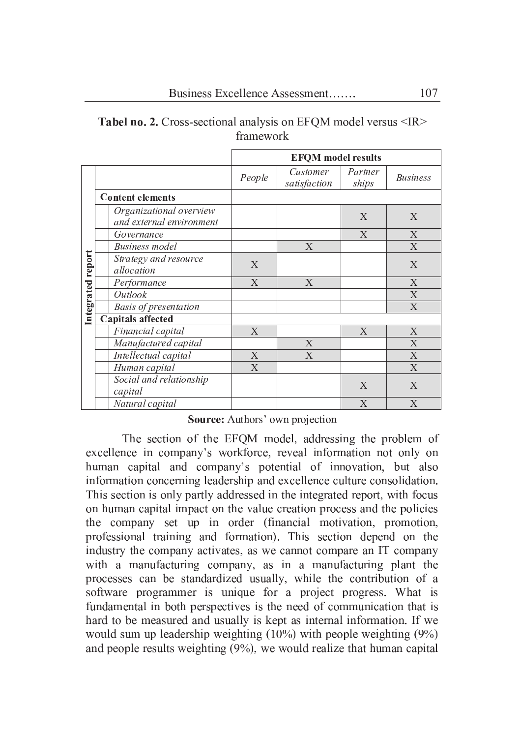|                   |                         |                                                     | <b>EFQM</b> model results |                          |                  |                 |  |  |
|-------------------|-------------------------|-----------------------------------------------------|---------------------------|--------------------------|------------------|-----------------|--|--|
|                   |                         |                                                     | People                    | Customer<br>satisfaction | Partner<br>ships | <b>Business</b> |  |  |
|                   | <b>Content elements</b> |                                                     |                           |                          |                  |                 |  |  |
|                   |                         | Organizational overview<br>and external environment |                           |                          | X                | X               |  |  |
|                   |                         | Governance                                          |                           |                          | X                | X               |  |  |
|                   |                         | <b>Business</b> model                               |                           | X                        |                  | X               |  |  |
| Integrated report |                         | Strategy and resource<br>allocation                 | X                         |                          |                  | X               |  |  |
|                   |                         | Performance                                         | X                         | X                        |                  | X               |  |  |
|                   |                         | Outlook                                             |                           |                          |                  | X               |  |  |
|                   |                         | <b>Basis of presentation</b>                        |                           |                          |                  | X               |  |  |
|                   |                         | <b>Capitals affected</b>                            |                           |                          |                  |                 |  |  |
|                   |                         | Financial capital                                   | X                         |                          | X                | X               |  |  |
|                   |                         | Manufactured capital                                |                           | X                        |                  | X               |  |  |
|                   |                         | Intellectual capital                                | X                         | X                        |                  | X               |  |  |
|                   |                         | Human capital                                       | X                         |                          |                  | X               |  |  |
|                   |                         | Social and relationship<br>capital                  |                           |                          | X                | X               |  |  |
|                   |                         | Natural capital                                     |                           |                          | X                | X               |  |  |

Tabel no. 2. Cross-sectional analysis on EFQM model versus <IR> framework

#### Source: Authors' own projection

The section of the EFOM model, addressing the problem of excellence in company's workforce, reveal information not only on human capital and company's potential of innovation, but also information concerning leadership and excellence culture consolidation. This section is only partly addressed in the integrated report, with focus on human capital impact on the value creation process and the policies the company set up in order (financial motivation, promotion, professional training and formation). This section depend on the industry the company activates, as we cannot compare an IT company with a manufacturing company, as in a manufacturing plant the processes can be standardized usually, while the contribution of a software programmer is unique for a project progress. What is fundamental in both perspectives is the need of communication that is hard to be measured and usually is kept as internal information. If we would sum up leadership weighting  $(10\%)$  with people weighting  $(9\%)$ and people results weighting  $(9\%)$ , we would realize that human capital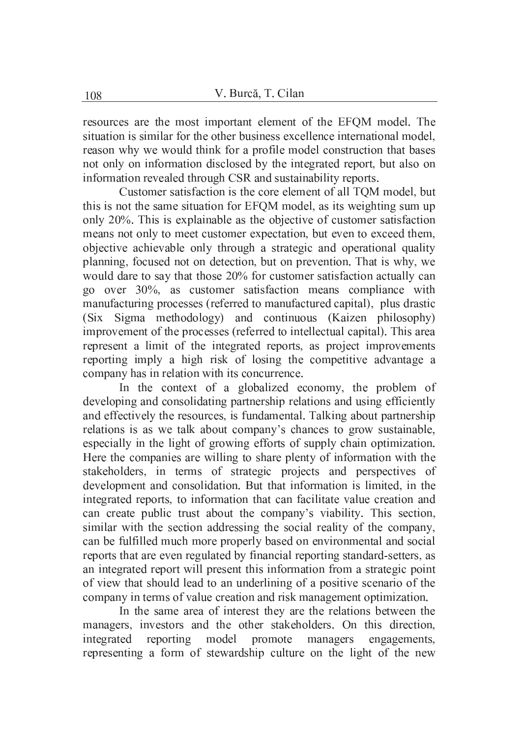resources are the most important element of the EFQM model. The situation is similar for the other business excellence international model, reason why we would think for a profile model construction that bases not only on information disclosed by the integrated report, but also on information revealed through CSR and sustainability reports.

Customer satisfaction is the core element of all TQM model, but this is not the same situation for EFQM model, as its weighting sum up only 20%. This is explainable as the objective of customer satisfaction means not only to meet customer expectation, but even to exceed them, objective achievable only through a strategic and operational quality planning, focused not on detection, but on prevention. That is why, we would dare to say that those 20% for customer satisfaction actually can go over 30%, as customer satisfaction means compliance with manufacturing processes (referred to manufactured capital), plus drastic Sigma methodology) and continuous (Kaizen philosophy)  $(Six)$ improvement of the processes (referred to intellectual capital). This area represent a limit of the integrated reports, as project improvements reporting imply a high risk of losing the competitive advantage a company has in relation with its concurrence.

In the context of a globalized economy, the problem of developing and consolidating partnership relations and using efficiently and effectively the resources, is fundamental. Talking about partnership relations is as we talk about company's chances to grow sustainable, especially in the light of growing efforts of supply chain optimization. Here the companies are willing to share plenty of information with the stakeholders, in terms of strategic projects and perspectives of development and consolidation. But that information is limited, in the integrated reports, to information that can facilitate value creation and can create public trust about the company's viability. This section, similar with the section addressing the social reality of the company, can be fulfilled much more properly based on environmental and social reports that are even regulated by financial reporting standard-setters, as an integrated report will present this information from a strategic point of view that should lead to an underlining of a positive scenario of the company in terms of value creation and risk management optimization.

In the same area of interest they are the relations between the managers, investors and the other stakeholders. On this direction, integrated reporting model promote managers engagements, representing a form of stewardship culture on the light of the new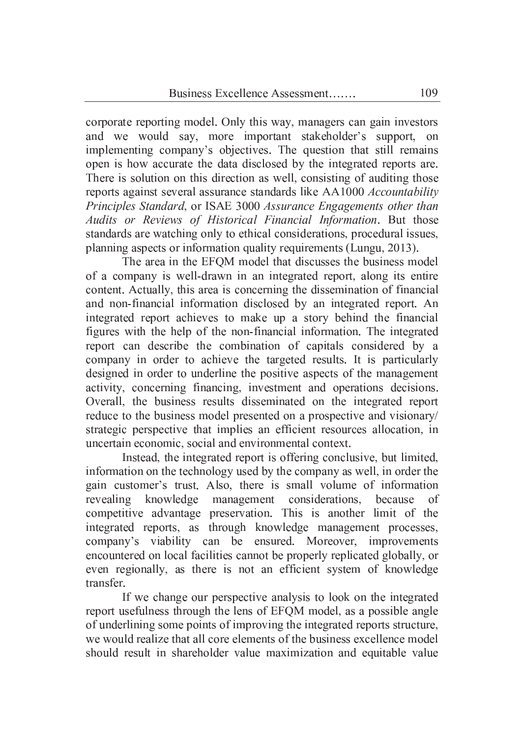corporate reporting model. Only this way, managers can gain investors and we would say, more important stakeholder's support, on implementing company's objectives. The question that still remains open is how accurate the data disclosed by the integrated reports are. There is solution on this direction as well, consisting of auditing those reports against several assurance standards like AA1000 Accountability Principles Standard, or ISAE 3000 Assurance Engagements other than Audits or Reviews of Historical Financial Information. But those standards are watching only to ethical considerations, procedural issues, planning aspects or information quality requirements (Lungu, 2013).

The area in the EFOM model that discusses the business model of a company is well-drawn in an integrated report, along its entire content. Actually, this area is concerning the dissemination of financial and non-financial information disclosed by an integrated report. An integrated report achieves to make up a story behind the financial figures with the help of the non-financial information. The integrated report can describe the combination of capitals considered by a company in order to achieve the targeted results. It is particularly designed in order to underline the positive aspects of the management activity, concerning financing, investment and operations decisions. Overall, the business results disseminated on the integrated report reduce to the business model presented on a prospective and visionary/ strategic perspective that implies an efficient resources allocation, in uncertain economic, social and environmental context.

Instead, the integrated report is offering conclusive, but limited, information on the technology used by the company as well, in order the gain customer's trust. Also, there is small volume of information revealing knowledge management considerations, because of competitive advantage preservation. This is another limit of the integrated reports, as through knowledge management processes, company's viability can be ensured. Moreover, improvements encountered on local facilities cannot be properly replicated globally, or even regionally, as there is not an efficient system of knowledge transfer.

If we change our perspective analysis to look on the integrated report usefulness through the lens of EFOM model, as a possible angle of underlining some points of improving the integrated reports structure, we would realize that all core elements of the business excellence model should result in shareholder value maximization and equitable value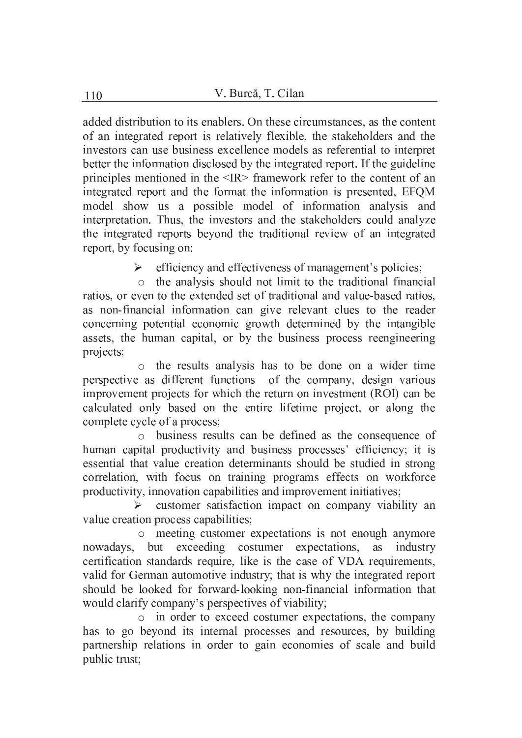added distribution to its enablers. On these circumstances, as the content of an integrated report is relatively flexible, the stakeholders and the investors can use business excellence models as referential to interpret better the information disclosed by the integrated report. If the guideline principles mentioned in the <IR> framework refer to the content of an integrated report and the format the information is presented, EFQM model show us a possible model of information analysis and interpretation. Thus, the investors and the stakeholders could analyze the integrated reports beyond the traditional review of an integrated report, by focusing on:

 $\triangleright$  efficiency and effectiveness of management's policies;

o the analysis should not limit to the traditional financial ratios, or even to the extended set of traditional and value-based ratios, as non-financial information can give relevant clues to the reader concerning potential economic growth determined by the intangible assets, the human capital, or by the business process reengineering projects;

o the results analysis has to be done on a wider time perspective as different functions of the company, design various improvement projects for which the return on investment (ROI) can be calculated only based on the entire lifetime project, or along the complete cycle of a process;

o business results can be defined as the consequence of human capital productivity and business processes' efficiency; it is essential that value creation determinants should be studied in strong correlation, with focus on training programs effects on workforce productivity, innovation capabilities and improvement initiatives;

> customer satisfaction impact on company viability an value creation process capabilities;

o meeting customer expectations is not enough anymore nowadays, but exceeding costumer expectations, as industry certification standards require, like is the case of VDA requirements, valid for German automotive industry; that is why the integrated report should be looked for forward-looking non-financial information that would clarify company's perspectives of viability;

o in order to exceed costumer expectations, the company has to go beyond its internal processes and resources, by building partnership relations in order to gain economies of scale and build public trust: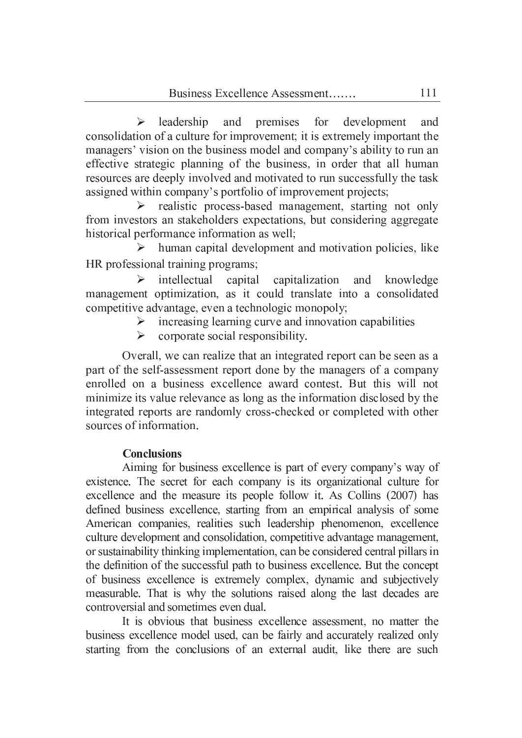leadership and premises for development  $\blacktriangleright$ and consolidation of a culture for improvement; it is extremely important the managers' vision on the business model and company's ability to run an effective strategic planning of the business, in order that all human resources are deeply involved and motivated to run successfully the task assigned within company's portfolio of improvement projects;

 $\triangleright$  realistic process-based management, starting not only from investors an stakeholders expectations, but considering aggregate historical performance information as well;

human capital development and motivation policies, like  $\triangleright$ HR professional training programs;

 $\blacktriangleright$ intellectual capital capitalization knowledge and management optimization, as it could translate into a consolidated competitive advantage, even a technologic monopoly;

- $\triangleright$  increasing learning curve and innovation capabilities
- $\blacktriangleright$ corporate social responsibility.

Overall, we can realize that an integrated report can be seen as a part of the self-assessment report done by the managers of a company enrolled on a business excellence award contest. But this will not minimize its value relevance as long as the information disclosed by the integrated reports are randomly cross-checked or completed with other sources of information.

# **Conclusions**

Aiming for business excellence is part of every company's way of existence. The secret for each company is its organizational culture for excellence and the measure its people follow it. As Collins (2007) has defined business excellence, starting from an empirical analysis of some American companies, realities such leadership phenomenon, excellence culture development and consolidation, competitive advantage management, or sustainability thinking implementation, can be considered central pillars in the definition of the successful path to business excellence. But the concept of business excellence is extremely complex, dynamic and subjectively measurable. That is why the solutions raised along the last decades are controversial and sometimes even dual.

It is obvious that business excellence assessment, no matter the business excellence model used, can be fairly and accurately realized only starting from the conclusions of an external audit, like there are such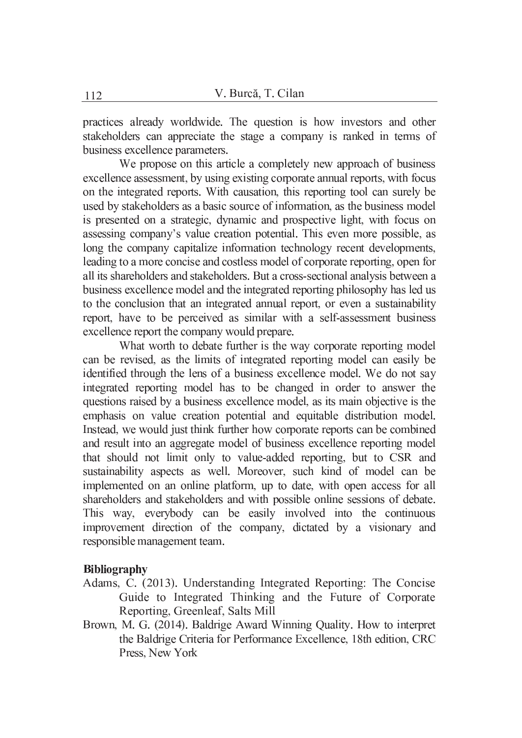practices already worldwide. The question is how investors and other stakeholders can appreciate the stage a company is ranked in terms of business excellence parameters.

We propose on this article a completely new approach of business excellence assessment, by using existing corporate annual reports, with focus on the integrated reports. With causation, this reporting tool can surely be used by stakeholders as a basic source of information, as the business model is presented on a strategic, dynamic and prospective light, with focus on assessing company's value creation potential. This even more possible, as long the company capitalize information technology recent developments, leading to a more concise and costless model of corporate reporting, open for all its shareholders and stakeholders. But a cross-sectional analysis between a business excellence model and the integrated reporting philosophy has led us to the conclusion that an integrated annual report, or even a sustainability report, have to be perceived as similar with a self-assessment business excellence report the company would prepare.

What worth to debate further is the way corporate reporting model can be revised, as the limits of integrated reporting model can easily be identified through the lens of a business excellence model. We do not say integrated reporting model has to be changed in order to answer the questions raised by a business excellence model, as its main objective is the emphasis on value creation potential and equitable distribution model. Instead, we would just think further how corporate reports can be combined and result into an aggregate model of business excellence reporting model that should not limit only to value-added reporting, but to CSR and sustainability aspects as well. Moreover, such kind of model can be implemented on an online platform, up to date, with open access for all shareholders and stakeholders and with possible online sessions of debate. This way, everybody can be easily involved into the continuous improvement direction of the company, dictated by a visionary and responsible management team.

### **Bibliography**

- Adams, C. (2013). Understanding Integrated Reporting: The Concise Guide to Integrated Thinking and the Future of Corporate Reporting, Greenleaf, Salts Mill
- Brown, M. G. (2014). Baldrige Award Winning Quality. How to interpret the Baldrige Criteria for Performance Excellence, 18th edition, CRC Press, New York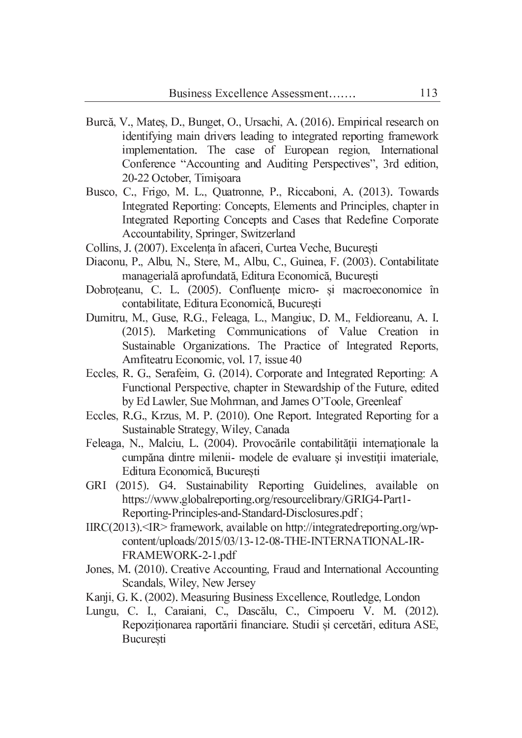- Burcă, V., Mates, D., Bunget, O., Ursachi, A. (2016). Empirical research on identifying main drivers leading to integrated reporting framework implementation. The case of European region, International Conference "Accounting and Auditing Perspectives", 3rd edition, 20-22 October, Timisoara
- Busco, C., Frigo, M. L., Quatronne, P., Riccaboni, A. (2013). Towards Integrated Reporting: Concepts, Elements and Principles, chapter in Integrated Reporting Concepts and Cases that Redefine Corporate Accountability, Springer, Switzerland
- Collins, J. (2007). Excelența în afaceri, Curtea Veche, București
- Diaconu, P., Albu, N., Stere, M., Albu, C., Guinea, F. (2003). Contabilitate managerială aprofundată, Editura Economică, București
- Dobroteanu, C. L. (2005). Confluente micro- și macroeconomice în contabilitate, Editura Economică, Bucuresti
- Dumitru, M., Guse, R.G., Feleaga, L., Mangiuc, D. M., Feldioreanu, A. I. (2015). Marketing Communications of Value Creation in Sustainable Organizations. The Practice of Integrated Reports, Amfiteatru Economic, vol. 17, issue 40
- Eccles, R. G., Serafeim, G. (2014). Corporate and Integrated Reporting: A Functional Perspective, chapter in Stewardship of the Future, edited by Ed Lawler, Sue Mohrman, and James O'Toole, Greenleaf
- Eccles, R.G., Krzus, M. P. (2010). One Report. Integrated Reporting for a Sustainable Strategy, Wiley, Canada
- Feleaga, N., Malciu, L. (2004). Provocările contabilității internaționale la cumpăna dintre milenii- modele de evaluare și investiții imateriale, Editura Economică, București
- GRI (2015). G4. Sustainability Reporting Guidelines, available on https://www.globalreporting.org/resourcelibrary/GRIG4-Part1-Reporting-Principles-and-Standard-Disclosures.pdf;
- $IIRC(2013)$ . TR> framework, available on http://integratedreporting.org/wpcontent/uploads/2015/03/13-12-08-THE-INTERNATIONAL-IR-FRAMEWORK-2-1.pdf
- Jones, M. (2010). Creative Accounting, Fraud and International Accounting Scandals, Wiley, New Jersey
- Kanji, G. K. (2002). Measuring Business Excellence, Routledge, London
- Lungu, C. I., Caraiani, C., Dascălu, C., Cimpoeru V. M. (2012). Repoziționarea raportării financiare. Studii și cercetări, editura ASE, București